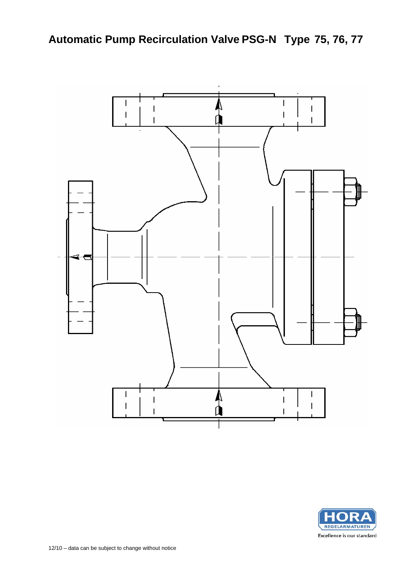

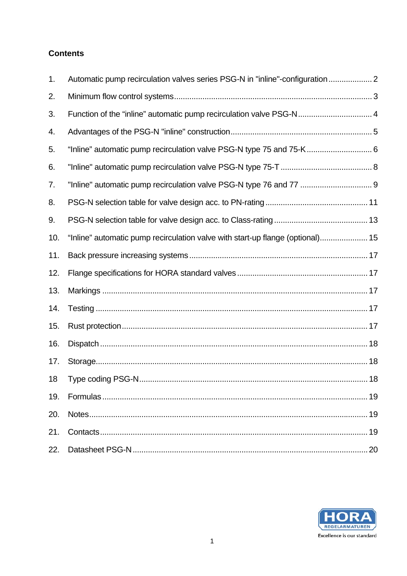# **Contents**

| 1.  |                                                                                |    |
|-----|--------------------------------------------------------------------------------|----|
| 2.  |                                                                                |    |
| 3.  | Function of the "inline" automatic pump recirculation valve PSG-N 4            |    |
| 4.  |                                                                                |    |
| 5.  | "Inline" automatic pump recirculation valve PSG-N type 75 and 75-K 6           |    |
| 6.  |                                                                                |    |
| 7.  |                                                                                |    |
| 8.  |                                                                                |    |
| 9.  |                                                                                |    |
| 10. | "Inline" automatic pump recirculation valve with start-up flange (optional) 15 |    |
| 11. |                                                                                |    |
| 12. |                                                                                |    |
| 13. |                                                                                |    |
| 14. |                                                                                |    |
| 15. |                                                                                |    |
| 16. |                                                                                |    |
| 17. |                                                                                |    |
| 18  | Type coding PSG-N                                                              | 18 |
| 19. |                                                                                |    |
| 20. |                                                                                |    |
| 21. |                                                                                |    |
| 22. |                                                                                |    |

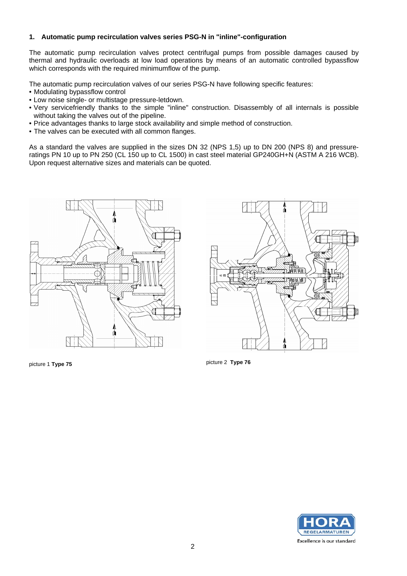#### **1. Automatic pump recirculation valves series PSG-N in "inline"-configuration**

The automatic pump recirculation valves protect centrifugal pumps from possible damages caused by thermal and hydraulic overloads at low load operations by means of an automatic controlled bypassflow which corresponds with the required minimumflow of the pump.

The automatic pump recirculation valves of our series PSG-N have following specific features:

- Modulating bypassflow control
- Low noise single- or multistage pressure-letdown.
- Very servicefriendly thanks to the simple "inline" construction. Disassembly of all internals is possible without taking the valves out of the pipeline.
- Price advantages thanks to large stock availability and simple method of construction.
- The valves can be executed with all common flanges.

As a standard the valves are supplied in the sizes DN 32 (NPS 1,5) up to DN 200 (NPS 8) and pressureratings PN 10 up to PN 250 (CL 150 up to CL 1500) in cast steel material GP240GH+N (ASTM A 216 WCB). Upon request alternative sizes and materials can be quoted.





picture 1 **Type 75** picture 2 **Type 76** 

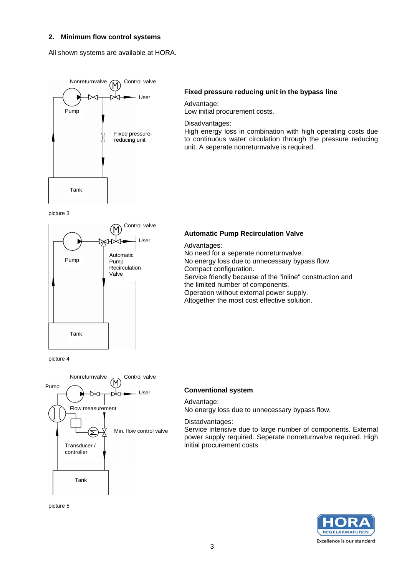#### **2. Minimum flow control systems**

All shown systems are available at HORA.



#### **Fixed pressure reducing unit in the bypass line**

Advantage:

Low initial procurement costs.

Disadvantages:

High energy loss in combination with high operating costs due to continuous water circulation through the pressure reducing unit. A seperate nonreturnvalve is required.

picture 3



#### **Automatic Pump Recirculation Valve**

Advantages: No need for a seperate nonreturnvalve. No energy loss due to unnecessary bypass flow. Compact configuration. Service friendly because of the "inline" construction and the limited number of components. Operation without external power supply. Altogether the most cost effective solution.

picture 4



### **Conventional system**

#### Advantage:

No energy loss due to unnecessary bypass flow.

#### Distadvantages:

Service intensive due to large number of components. External power supply required. Seperate nonreturnvalve required. High initial procurement costs



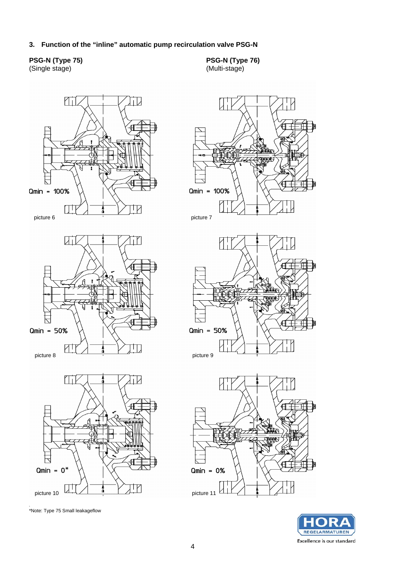**3. Function of the "inline" automatic pump recirculation valve PSG-N** 

#### **PSG-N (Type 75)**  (Single stage)

**PSG-N (Type 76)**  (Multi-stage)



.<br>\*Note: Type 75 Small leakageflow

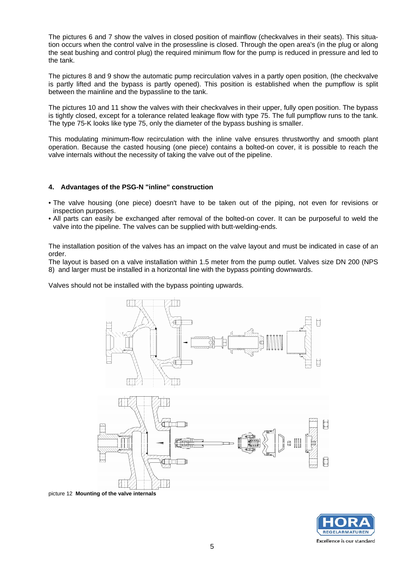The pictures 6 and 7 show the valves in closed position of mainflow (checkvalves in their seats). This situation occurs when the control valve in the prosessline is closed. Through the open area's (in the plug or along the seat bushing and control plug) the required minimum flow for the pump is reduced in pressure and led to the tank.

The pictures 8 and 9 show the automatic pump recirculation valves in a partly open position, (the checkvalve is partly lifted and the bypass is partly opened). This position is established when the pumpflow is split between the mainline and the bypassline to the tank.

The pictures 10 and 11 show the valves with their checkvalves in their upper, fully open position. The bypass is tightly closed, except for a tolerance related leakage flow with type 75. The full pumpflow runs to the tank. The type 75-K looks like type 75, only the diameter of the bypass bushing is smaller.

This modulating minimum-flow recirculation with the inline valve ensures thrustworthy and smooth plant operation. Because the casted housing (one piece) contains a bolted-on cover, it is possible to reach the valve internals without the necessity of taking the valve out of the pipeline.

### **4. Advantages of the PSG-N "inline" construction**

- The valve housing (one piece) doesn't have to be taken out of the piping, not even for revisions or inspection purposes.
- All parts can easily be exchanged after removal of the bolted-on cover. It can be purposeful to weld the valve into the pipeline. The valves can be supplied with butt-welding-ends.

The installation position of the valves has an impact on the valve layout and must be indicated in case of an order.

The layout is based on a valve installation within 1.5 meter from the pump outlet. Valves size DN 200 (NPS 8) and larger must be installed in a horizontal line with the bypass pointing downwards.

Valves should not be installed with the bypass pointing upwards.



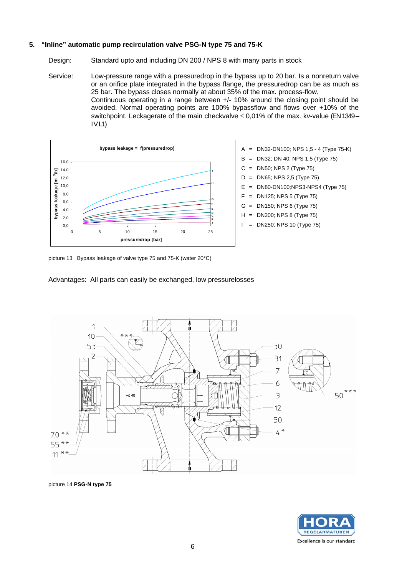#### **5. "Inline" automatic pump recirculation valve PSG-N type 75 and 75-K**

Design: Standard upto and including DN 200 / NPS 8 with many parts in stock

Service: Low-pressure range with a pressuredrop in the bypass up to 20 bar. Is a nonreturn valve or an orifice plate integrated in the bypass flange, the pressuredrop can be as much as 25 bar. The bypass closes normally at about 35% of the max. process-flow. Continuous operating in a range between +/- 10% around the closing point should be avoided. Normal operating points are 100% bypassflow and flows over +10% of the switchpoint. Leckagerate of the main checkvalve  $\leq 0.01\%$  of the max. kv-value (EN 1349 –  $IVL1$ 





picture 13Bypass leakage of valve type 75 and 75-K (water 20°C)

Advantages:All parts can easily be exchanged, low pressurelosses



picture 14 **PSG-N type 75** 

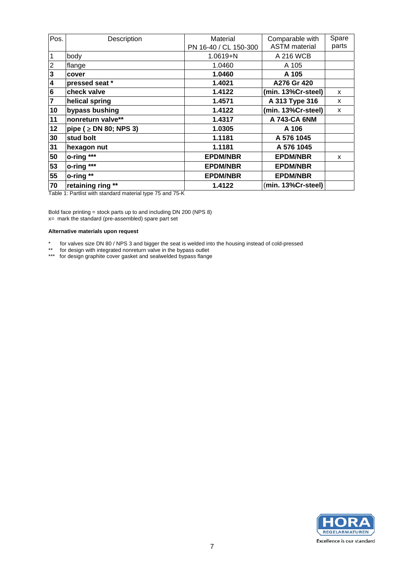| Pos.                    | Description                 | Material              | Comparable with      | Spare |
|-------------------------|-----------------------------|-----------------------|----------------------|-------|
|                         |                             | PN 16-40 / CL 150-300 | <b>ASTM</b> material | parts |
| $\mathbf{1}$            | body                        | $1.0619 + N$          | A 216 WCB            |       |
| $\overline{2}$          | flange                      | 1.0460                | A 105                |       |
| $\mathbf{3}$            | cover                       | 1.0460                | A 105                |       |
| $\overline{\mathbf{4}}$ | pressed seat *              | 1.4021                | A276 Gr 420          |       |
| $6\phantom{1}6$         | check valve                 | 1.4122                | (min. 13%Cr-steel)   | X     |
| $\overline{7}$          | helical spring              | 1.4571                | A 313 Type 316       | X     |
| 10                      | bypass bushing              | 1.4122                | (min. 13%Cr-steel)   | X     |
| 11                      | nonreturn valve**           | 1.4317                | A 743-CA 6NM         |       |
| 12                      | pipe ( $\geq$ DN 80; NPS 3) | 1.0305                | A 106                |       |
| 30                      | stud bolt                   | 1.1181                | A 576 1045           |       |
| 31                      | hexagon nut                 | 1.1181                | A 576 1045           |       |
| 50                      | o-ring ***                  | <b>EPDM/NBR</b>       | <b>EPDM/NBR</b>      | X     |
| 53                      | o-ring ***                  | <b>EPDM/NBR</b>       | <b>EPDM/NBR</b>      |       |
| 55                      | o-ring **                   | <b>EPDM/NBR</b>       | <b>EPDM/NBR</b>      |       |
| 70                      | retaining ring **           | 1.4122                | (min. 13%Cr-steel)   |       |

Table 1: Partlist with standard material type 75 and 75-K

Bold face printing = stock parts up to and including DN 200 (NPS 8) x= mark the standard (pre-assembled) spare part set

#### **Alternative materials upon request**

\* for valves size DN 80 / NPS 3 and bigger the seat is welded into the housing instead of cold-pressed

\*\* for design with integrated nonreturn valve in the bypass outlet

\*\*\* for design graphite cover gasket and sealwelded bypass flange

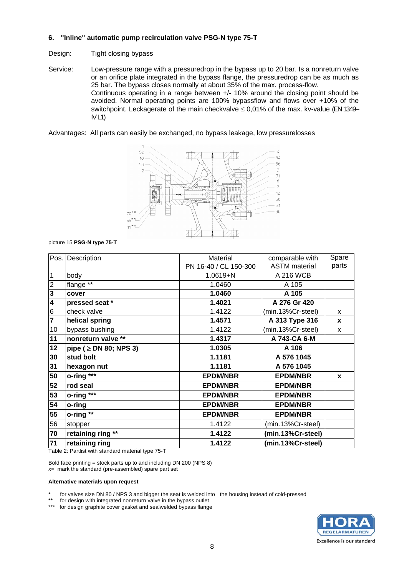#### **6. "Inline" automatic pump recirculation valve PSG-N type 75-T**

#### Design: Tight closing bypass

Service: Low-pressure range with a pressuredrop in the bypass up to 20 bar. Is a nonreturn valve or an orifice plate integrated in the bypass flange, the pressuredrop can be as much as 25 bar. The bypass closes normally at about 35% of the max. process-flow. Continuous operating in a range between +/- 10% around the closing point should be avoided. Normal operating points are 100% bypassflow and flows over +10% of the switchpoint. Leckagerate of the main checkvalve  $\leq 0.01\%$  of the max. kv-value (EN 1349– IV L1)

Advantages:All parts can easily be exchanged, no bypass leakage, low pressurelosses



picture 15 **PSG-N type 75-T**

| Pos.                    | Description                 | Material              | comparable with      | Spare |
|-------------------------|-----------------------------|-----------------------|----------------------|-------|
|                         |                             | PN 16-40 / CL 150-300 | <b>ASTM</b> material | parts |
| 1                       | body                        | 1.0619+N              | A 216 WCB            |       |
| $\overline{c}$          | flange **                   | 1.0460                | A 105                |       |
| $\mathbf 3$             | cover                       | 1.0460                | A 105                |       |
| $\overline{\mathbf{4}}$ | pressed seat *              | 1.4021                | A 276 Gr 420         |       |
| 6                       | check valve                 | 1.4122                | (min.13%Cr-steel)    | X     |
| 7                       | helical spring              | 1.4571                | A 313 Type 316       | X     |
| 10                      | bypass bushing              | 1.4122                | (min.13%Cr-steel)    | X     |
| 11                      | nonreturn valve **          | 1.4317                | A 743-CA 6-M         |       |
| 12                      | pipe ( $\geq$ DN 80; NPS 3) | 1.0305                | A 106                |       |
| 30                      | stud bolt                   | 1.1181                | A 576 1045           |       |
| 31                      | hexagon nut                 | 1.1181                | A 576 1045           |       |
| 50                      | o-ring ***                  | <b>EPDM/NBR</b>       | <b>EPDM/NBR</b>      | X     |
| 52                      | rod seal                    | <b>EPDM/NBR</b>       | <b>EPDM/NBR</b>      |       |
| 53                      | o-ring ***                  | <b>EPDM/NBR</b>       | <b>EPDM/NBR</b>      |       |
| 54                      | o-ring                      | <b>EPDM/NBR</b>       | <b>EPDM/NBR</b>      |       |
| 55                      | o-ring **                   | <b>EPDM/NBR</b>       | <b>EPDM/NBR</b>      |       |
| 56                      | stopper                     | 1.4122                | (min.13%Cr-steel)    |       |
| 70                      | retaining ring **           | 1.4122                | (min.13%Cr-steel)    |       |
| 71                      | retaining ring              | 1.4122                | (min.13%Cr-steel)    |       |

Table 2: Partlist with standard material type 75-T

Bold face printing = stock parts up to and including DN 200 (NPS 8) x= mark the standard (pre-assembled) spare part set

#### **Alternative materials upon request**

for valves size DN 80 / NPS 3 and bigger the seat is welded into the housing instead of cold-pressed

- \*\* for design with integrated nonreturn valve in the bypass outlet<br>\*\*\* for docing graphite cover gocket and coalwelded bypass flagge
- for design graphite cover gasket and sealwelded bypass flange

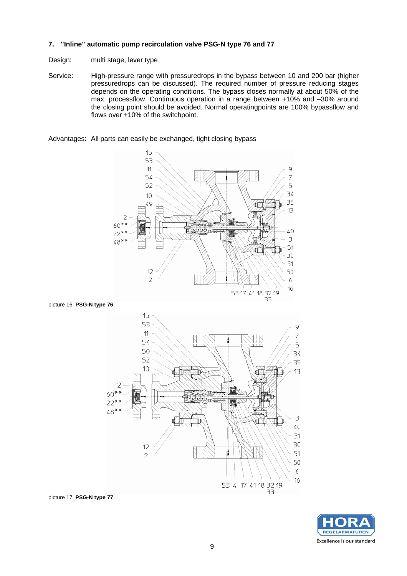#### **7. "Inline" automatic pump recirculation valve PSG-N type 76 and 77**

- Design: multi stage, lever type
- Service: High-pressure range with pressuredrops in the bypass between 10 and 200 bar (higher pressuredrops can be discussed). The required number of pressure reducing stages depends on the operating conditions. The bypass closes normally at about 50% of the max. processflow. Continuous operation in a range between +10% and –30% around the closing point should be avoided. Normal operatingpoints are 100% bypassflow and flows over +10% of the switchpoint.

Advantages: All parts can easily be exchanged, tight closing bypass



picture 16 **PSG-N type 76**





picture 17 **PSG-N type 77**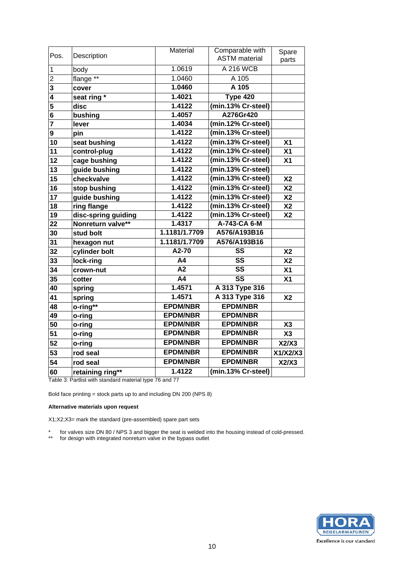| Pos.           | Description          | Material        | Comparable with<br><b>ASTM</b> material | Spare<br>parts |
|----------------|----------------------|-----------------|-----------------------------------------|----------------|
| 1              | body                 | 1.0619          | <b>A 216 WCB</b>                        |                |
| $\overline{2}$ | flange <sup>**</sup> | 1.0460          | A 105                                   |                |
| 3              | cover                | 1.0460          | A 105                                   |                |
| 4              | seat ring *          | 1.4021          | Type 420                                |                |
| 5              | disc                 | 1.4122          | (min.13% Cr-steel)                      |                |
| 6              | bushing              | 1.4057          | A276Gr420                               |                |
| $\overline{7}$ | lever                | 1.4034          | (min.12% Cr-steel)                      |                |
| 9              | pin                  | 1.4122          | (min.13% Cr-steel)                      |                |
| 10             | seat bushing         | 1.4122          | (min.13% Cr-steel)                      | X <sub>1</sub> |
| 11             | control-plug         | 1.4122          | (min.13% Cr-steel)                      | X <sub>1</sub> |
| 12             | cage bushing         | 1.4122          | (min.13% Cr-steel)                      | X <sub>1</sub> |
| 13             | guide bushing        | 1.4122          | (min.13% Cr-steel)                      |                |
| 15             | checkvalve           | 1.4122          | (min.13% Cr-steel)                      | X <sub>2</sub> |
| 16             | stop bushing         | 1.4122          | (min.13% Cr-steel)                      | X <sub>2</sub> |
| 17             | guide bushing        | 1.4122          | (min.13% Cr-steel)                      | X <sub>2</sub> |
| 18             | ring flange          | 1.4122          | (min.13% Cr-steel)                      | <b>X2</b>      |
| 19             | disc-spring guiding  | 1.4122          | (min.13% Cr-steel)                      | X <sub>2</sub> |
| 22             | Nonreturn valve**    | 1.4317          | A-743-CA 6-M                            |                |
| 30             | stud bolt            | 1.1181/1.7709   | A576/A193B16                            |                |
| 31             | hexagon nut          | 1.1181/1.7709   | A576/A193B16                            |                |
| 32             | cylinder bolt        | A2-70           | SS                                      | X <sub>2</sub> |
| 33             | lock-ring            | A4              | $\overline{\text{ss}}$                  | X <sub>2</sub> |
| 34             | crown-nut            | A2              | SS                                      | X <sub>1</sub> |
| 35             | cotter               | $\overline{A4}$ | $\overline{\text{ss}}$                  | X <sub>1</sub> |
| 40             | spring               | 1.4571          | A 313 Type 316                          |                |
| 41             | spring               | 1.4571          | A 313 Type 316                          | X <sub>2</sub> |
| 48             | o-ring**             | <b>EPDM/NBR</b> | <b>EPDM/NBR</b>                         |                |
| 49             | o-ring               | <b>EPDM/NBR</b> | <b>EPDM/NBR</b>                         |                |
| 50             | o-ring               | <b>EPDM/NBR</b> | <b>EPDM/NBR</b>                         | X3             |
| 51             | o-ring               | <b>EPDM/NBR</b> | <b>EPDM/NBR</b>                         | X3             |
| 52             | o-ring               | <b>EPDM/NBR</b> | <b>EPDM/NBR</b>                         | X2/X3          |
| 53             | rod seal             | <b>EPDM/NBR</b> | <b>EPDM/NBR</b>                         | X1/X2/X3       |
| 54             | rod seal             | <b>EPDM/NBR</b> | <b>EPDM/NBR</b>                         | X2/X3          |
| 60             | retaining ring**     | 1.4122          | (min.13% Cr-steel)                      |                |

Table 3: Partlist with standard material type 76 and 77

Bold face printing = stock parts up to and including DN 200 (NPS 8)

#### **Alternative materials upon request**

X1;X2;X3= mark the standard (pre-assembled) spare part sets

\* for valves size DN 80 / NPS 3 and bigger the seat is welded into the housing instead of cold-pressed. \*\* for design with integrated nonreturn valve in the bypass outlet

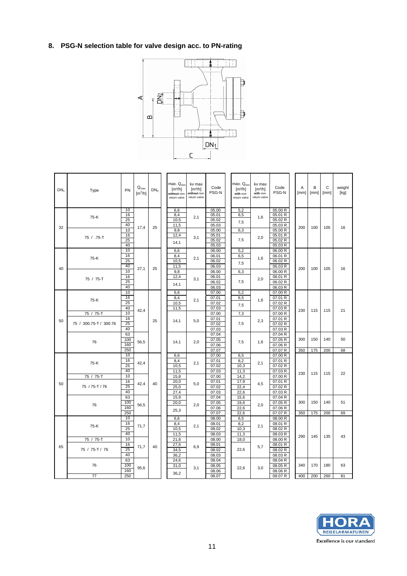# **8. PSG-N selection table for valve design acc. to PN-rating**



| DN <sub>1</sub> | Type                                | PN                      | $Q_{\text{max}}$<br>$\lceil m^3/h \rceil$ | DN <sub>2</sub> | max. Q <sub>mir</sub><br>$\left[\frac{m^3}{h}\right]$<br>without non-<br>return valve | kv max<br>[m <sup>3</sup> /h]<br>without non-<br>return valve | Code<br>PSG-N                    | $max. Q_{min}$<br>$\left[\frac{m^3}{h}\right]$<br>with non-<br>return valve | kv max<br>[m <sup>3</sup> /h]<br>with non-<br>return valve | Code<br>PSG-N                            | A<br>[mm]  | B<br>[mm]  | C<br>[mm]  | weight<br>[kg] |
|-----------------|-------------------------------------|-------------------------|-------------------------------------------|-----------------|---------------------------------------------------------------------------------------|---------------------------------------------------------------|----------------------------------|-----------------------------------------------------------------------------|------------------------------------------------------------|------------------------------------------|------------|------------|------------|----------------|
| 32              | 75-K                                | 10<br>16<br>25<br>40    | 17,4                                      | 25              | 6,6<br>8,4<br>10,5<br>11,5                                                            | 2,1                                                           | 05.00<br>05.01<br>05.02<br>05.03 | 5,2<br>6,5<br>7,5                                                           | 1,6                                                        | 05.00 R<br>05.01 R<br>05.02 R<br>05.03 R | 200        | 100        | 105        | 16             |
|                 | 75 / .75-T                          | 10<br>16<br>25<br>40    |                                           |                 | 9,8<br>12,4<br>14,1                                                                   | 3,1                                                           | 05.00<br>05.01<br>05.02<br>05.03 | 6,3<br>7.5                                                                  | 2,0                                                        | 05.00 R<br>05.01 R<br>05.02 R<br>05.03 R |            |            |            |                |
| 40              | 75-K                                | 10<br>16<br>25<br>40    | 27,1                                      | 25              | 6.6<br>8,4<br>10,5<br>11,5                                                            | 2,1                                                           | 06.00<br>06.01<br>06.02<br>06.03 | 5,2<br>6,5<br>7,5                                                           | 1,6                                                        | 06.00 R<br>06.01 R<br>06.02 R<br>06.03R  | 200        | 100        | 105        | 16             |
|                 | 75 / 75-T                           | 10<br>16<br>25<br>40    |                                           |                 | 9,8<br>12,4<br>14,1                                                                   | 3,1                                                           | 06.00<br>06.01<br>06.02<br>06.03 | 6,3<br>7,5                                                                  | 2,0                                                        | 06.00 R<br>06.01 R<br>06.02 R<br>06.03 R |            |            |            |                |
|                 | 75-K                                | 10<br>16<br>25<br>40    | 42,4                                      |                 | 6,6<br>8,4<br>10,5<br>11,5                                                            | 2,1                                                           | 07.00<br>07.01<br>07.02<br>07.03 | 5,2<br>6,5<br>7,5                                                           | 1,6                                                        | 07.00 R<br>07.01 R<br>07.02 R<br>07.03 R | 230        | 115        | 115        | 21             |
| 50              | 75 / 75-T<br>75 / 300.75-T / 300.76 | 10<br>16<br>25<br>40    |                                           | 25              | 14,1                                                                                  | 5,0                                                           | 07.00<br>07.01<br>07.02<br>07.03 | 7,3<br>7,5                                                                  | 2,3                                                        | 07.00 R<br>07.01 R<br>07.02 R<br>07.03 R |            |            |            |                |
|                 | 76                                  | 63<br>100<br>160<br>250 | 56,5                                      |                 | 14.1                                                                                  | 2.0                                                           | 07.04<br>07.05<br>07.06<br>07.07 | 7,5                                                                         | 1,6                                                        | 07.04 R<br>07.05 R<br>07.06 R<br>07.07 R | 300<br>350 | 150<br>175 | 140<br>200 | 50<br>68       |
|                 | 75-K                                | 10<br>16<br>25<br>40    | 42,4                                      |                 | 6.6<br>8.4<br>10,5<br>11,5                                                            | 2,1                                                           | 07.00<br>07.01<br>07.02<br>07.03 | 6.5<br>8,2<br>10,3<br>11,3                                                  | 2,1                                                        | 07.00 R<br>07.01 R<br>07.02 R<br>07.03 R |            |            |            |                |
| 50              | 75 / 75-T<br>75 / 75-T / 76         | 10<br>16<br>25<br>40    | 42,4                                      | 40              | 15,8<br>20,0<br>25,0<br>27,4                                                          | 5,0                                                           | 07.00<br>07.01<br>07.02<br>07.03 | 14,2<br>17,9<br>22,4<br>22,6                                                | 4,5                                                        | 07.00 R<br>07.01 R<br>07.02 R<br>07.03 R | 230        | 115        | 115        | 22             |
|                 | 76                                  | 63<br>100<br>160<br>250 | 56,5                                      |                 | 15,9<br>20,0<br>25,3                                                                  | 2,0                                                           | 07.04<br>07.05<br>07.06<br>07.07 | 15,6<br>19,6<br>22,6<br>22,6                                                | 2,0                                                        | 07.04 R<br>07.05 R<br>07.06 R<br>07.07 R | 300<br>350 | 150<br>175 | 140<br>200 | 51<br>69       |
|                 | 75-K                                | 10<br>16<br>25<br>40    | 71,7                                      |                 | 6,6<br>8,4<br>10,5<br>11,5                                                            | 2,1                                                           | 08.00<br>08.01<br>08.02<br>08.03 | 6,5<br>8,2<br>10,3<br>11,3                                                  | 2,1                                                        | 08.00 R<br>08.01 R<br>08.02 R<br>08.03 R |            |            |            |                |
| 65              | 75 / 75-T<br>75 / 75-T / 76         | 10<br>16<br>25<br>40    | 71,7                                      | 40              | 21,8<br>27.6<br>34.5<br>36,2                                                          | 6.9                                                           | 08.00<br>08.01<br>08.02<br>08.03 | 18,0<br>22.6                                                                | 5,7                                                        | 08.00 R<br>08.01 R<br>08.02 R<br>08.03 R | 290        | 145        | 135        | 43             |
|                 | 76<br>77                            | 63<br>100<br>160<br>250 | 95,6                                      |                 | 24,6<br>31,0<br>36.2                                                                  | 3,1                                                           | 08.04<br>08.05<br>08.06<br>08.07 | 22.6                                                                        | 3,0                                                        | 08.04 R<br>08.05 R<br>08.06 R<br>08.07 R | 340<br>400 | 170<br>200 | 180<br>260 | 63<br>81       |

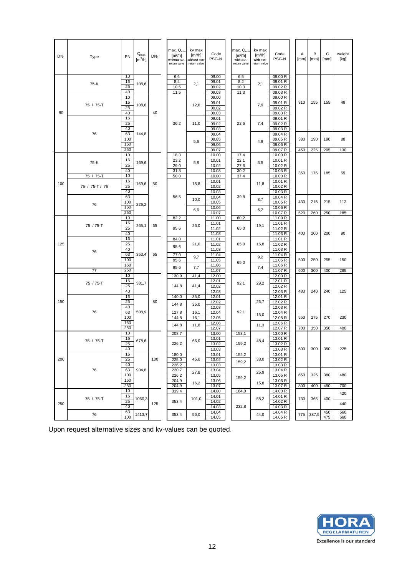| DN <sub>1</sub> | Type                        | PN                         | $\mathsf{Q}_{\mathsf{max}}$<br>$\text{[m}^3/\text{h}]$ | DN <sub>2</sub> | max. Q <sub>min</sub><br>[m <sup>3</sup> /h]<br>without non-<br>return valve | kv max<br>$\left[\frac{m^3}{h}\right]$<br>without non-<br>return valve | Code<br>PSG-N                             | max. Q <sub>min</sub><br>[m <sup>3</sup> /h]<br>with non-<br>return valve | kv max<br>$\left[\frac{m^3}{h}\right]$<br>with non-<br>return valve | Code<br>PSG-N                                       | A<br>[mm]  | B<br>[mm]  | С<br>[mm]  | weight<br>[kg] |
|-----------------|-----------------------------|----------------------------|--------------------------------------------------------|-----------------|------------------------------------------------------------------------------|------------------------------------------------------------------------|-------------------------------------------|---------------------------------------------------------------------------|---------------------------------------------------------------------|-----------------------------------------------------|------------|------------|------------|----------------|
|                 | 75-K                        | 10<br>16<br>25<br>40       | 108,6                                                  |                 | 6,6<br>8,4<br>10,5<br>11,5                                                   | 2,1                                                                    | 09.00<br>09.01<br>09.02<br>09.03          | 6,5<br>8,2<br>10,3<br>11,3                                                | 2,1                                                                 | 09.00 R<br>09.01 R<br>09.02 R<br>09.03R             |            |            |            |                |
| 80              | 75 / 75-T                   | 10<br>16<br>25<br>40<br>16 | 108,6                                                  | 40              |                                                                              | 12,6                                                                   | 09.00<br>09.01<br>09.02<br>09.03<br>09.01 |                                                                           | 7,9                                                                 | 09.00 R<br>09.01 R<br>09.02 R<br>09.03 R<br>09.01 R | 310        | 155        | 155        | 48             |
|                 | 76                          | 25<br>40<br>63<br>100      | 144,8                                                  |                 | 36,2                                                                         | 11,0                                                                   | 09.02<br>09.03<br>09.04<br>09.05          | 22,6                                                                      | 7,4                                                                 | 09.02 R<br>09.03R<br>09.04 R<br>09.05 R             | 380        | 190        | 190        | 88             |
|                 |                             | 160<br>250                 |                                                        |                 |                                                                              | 5,6                                                                    | 09.06<br>09.07                            |                                                                           | 4,9                                                                 | 09.06 R<br>09.07 R                                  | 450        | 225        | 205        | 130            |
|                 | 75-K                        | 10<br>16<br>25<br>40       | 169,6                                                  |                 | 18,3<br>23,2<br>29,0<br>31,8                                                 | 5,8                                                                    | 10.00<br>10.01<br>10.02<br>10.03          | 17,4<br>22,1<br>27,6<br>30,2                                              | 5,5                                                                 | 10.00 R<br>10.01 R<br>10.02 R<br>10.03 R            |            |            |            |                |
| 100             | 75 / 75-T<br>75 / 75-T / 76 | 10<br>16<br>25<br>40       | 169,6                                                  | 50              | 50,0                                                                         | 15,8                                                                   | 10.00<br>10.01<br>10.02<br>10.03          | 37,4                                                                      | 11,8                                                                | 10.00 R<br>10.01 R<br>10.02R<br>10.03 R             | 350        | 175        | 185        | 59             |
|                 | 76                          | 63<br>100<br>160           | 226,2                                                  |                 | 56,5                                                                         | 10,0                                                                   | 10.04<br>10.05<br>10.06                   | 39,8                                                                      | 8,7                                                                 | 10.04 R<br>10.05 R<br>10.06 R                       | 430        | 215        | 215        | 113            |
|                 |                             | 250                        |                                                        |                 |                                                                              | 6,6                                                                    | 10.07                                     |                                                                           | 6,2                                                                 | 10.07 R                                             | 520        | 260        | 250        | 185            |
|                 | 75 / 75-T                   | 10<br>16<br>25<br>40       | 265,1                                                  | 65              | 82,2<br>95,6                                                                 | 26,0                                                                   | 11.00<br>11.01<br>11.02<br>11.03          | 60,2<br>65,0                                                              | 19,1                                                                | 11.00 R<br>11.01 R<br>11.02 R<br>11.03 R            | 400        | 200        | 200        | 90             |
| 125             | 76                          | 16<br>25<br>40<br>63       | 353,4                                                  | 65              | 84,0<br>95,6<br>77,0                                                         | 21,0                                                                   | 11.01<br>11.02<br>11.03<br>11.04          | 65,0                                                                      | 16,8                                                                | 11.01 R<br>11.02 R<br>11.03 R<br>11.04 R            |            |            |            |                |
|                 |                             | 100<br>160                 |                                                        |                 | 95,6<br>95,6                                                                 | 9,7<br>7,7                                                             | 11.05<br>11.06                            | 65,0                                                                      | 9,2<br>7,4                                                          | 11.05 R<br>11.06 R                                  | 500        | 250        | 255        | 150            |
|                 | 77                          | 250<br>10                  |                                                        |                 | 130,9                                                                        | 41,4                                                                   | 11.07<br>12.00                            |                                                                           |                                                                     | 11.07 R<br>12.00 R                                  | 600        | 300        | 400        | 285            |
|                 | 75 / 75-T                   | 16<br>25<br>40             | 381,7                                                  |                 | 144,8                                                                        | 41,4                                                                   | 12.01<br>12.02<br>12.03                   | 92,1                                                                      | 29,2                                                                | 12.01 R<br>12.02 R<br>12.03 R                       | 480        | 240        | 240        | 125            |
| 150             | 76                          | 16<br>25<br>40<br>63       | 508,9                                                  | 80              | 140,0<br>144,8<br>127,8                                                      | 35,0<br>35,0<br>16,1                                                   | 12.01<br>12.02<br>12.03<br>12.04          | 92,1                                                                      | 26,7                                                                | 12.01 R<br>12.02 R<br>12.03 R<br>12.04 R            |            |            |            |                |
|                 |                             | 100<br>160<br>250          |                                                        |                 | 144,8<br>144,8                                                               | 16,1<br>11,8                                                           | 12.05<br>12.06<br>12.07                   |                                                                           | 15,0<br>11,3                                                        | 12.05 R<br>12.06 R<br>12.07 R                       | 550<br>700 | 275<br>350 | 270<br>350 | 230<br>400     |
|                 |                             | 10                         |                                                        |                 | 208,7                                                                        |                                                                        | 13.00                                     | 153,1                                                                     |                                                                     | 13.00 R                                             |            |            |            |                |
|                 | 75 / 75-T                   | 16<br>25<br>40             | 678,6                                                  |                 | 226,2                                                                        | 66,0                                                                   | 13.01<br>13.02<br>13.03                   | 159,2                                                                     | 48,4                                                                | 13.01 R<br>13.02 R<br>13.03 R                       | 600        | 300        | 350        | 225            |
| 200             | 76                          | 16<br>25<br>40<br>63       | 904,8                                                  | 100             | 180,0<br>225,0<br>226,2                                                      | 45,0                                                                   | 13.01<br>13.02<br>13.03                   | 152,2<br>159,2                                                            | 38,0                                                                | 13.01 R<br>13.02 R<br>13.03 R                       |            |            |            |                |
|                 |                             | 100<br>160                 |                                                        |                 | 220,7<br>226,2<br>204,9                                                      | 27,8<br>16,2                                                           | 13.04<br>13.05<br>13.06                   | 159,2                                                                     | 25,9<br>15,8                                                        | 13.04 R<br>13.05 R<br>13.06 R                       | 650        | 325        | 380        | 480            |
|                 |                             | 250<br>10                  |                                                        |                 | 204,9                                                                        |                                                                        | 13.07                                     | 184,0                                                                     |                                                                     | 13.07 R                                             | 800        | 400        | 450        | 700            |
| 250             | 75 / 75-T                   | 16<br>25                   | 1060.3                                                 | 125             | 319,4<br>353,4                                                               | 101,0                                                                  | 14.00<br>14.01<br>14.02                   |                                                                           | 58,2                                                                | 14.00 R<br>14.01 R<br>14.02 R                       | 730        | 365        | 400        | 420<br>440     |
|                 | 76                          | 40<br>63<br>100            | 1413,7                                                 |                 | 353,4                                                                        | 56,0                                                                   | 14.03<br>14.04<br>14.05                   | 232,8                                                                     | 44,0                                                                | 14.03 R<br>14.04 R<br>14.05 R                       | 775        | 387,5      | 450<br>475 | 560<br>660     |

Upon request alternative sizes and kv-values can be quoted.

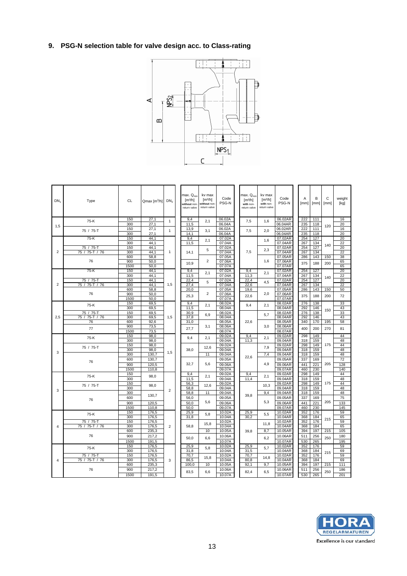# **9. PSG-N selection table for valve design acc. to Class-rating**



| $DN_1$         | Type                | <b>CL</b>   | Qmax [m <sup>3</sup> /h] | DN <sub>2</sub> | max. Q <sub>min</sub><br>$\text{Im}^3/\text{hl}$<br>without non<br>return valve | ky max<br>$\text{Im}^3/\text{hl}$<br>without non<br>return valve | Code<br>PSG-N    | max. Q <sub>min</sub><br>$\text{Im}^3/\text{hl}$<br>with non-<br>return valve | kv max<br>$\left[\frac{m^3}{h}\right]$<br>with non-<br>return valve | Code<br>PSG-N      | A<br>[mm]  | B<br>[mm]  | C<br>[mm] | weight<br>[kg] |
|----------------|---------------------|-------------|--------------------------|-----------------|---------------------------------------------------------------------------------|------------------------------------------------------------------|------------------|-------------------------------------------------------------------------------|---------------------------------------------------------------------|--------------------|------------|------------|-----------|----------------|
|                | 75-K                | 150<br>300  | 27,1<br>27.1             | $\mathbf{1}$    | 9,4<br>11.5                                                                     | 2,1                                                              | 06.02A<br>06.04A | 7,5                                                                           | 1,6                                                                 | 06.02AR<br>06.04AR | 222<br>235 | 111<br>118 |           | 16<br>20       |
| 1,5            |                     | 150         | $\overline{27,1}$        |                 | 13,9                                                                            |                                                                  | 06.02A           |                                                                               |                                                                     | 06.02AR            | 222        | 111        | 120       | 16             |
|                | 75 / 75-T           | 300         | 27.1                     | $\mathbf{1}$    | 14.1                                                                            | 3,1                                                              | 06.04A           | 7,5                                                                           | 2,0                                                                 | 06.04AR            | 235        | 118        |           | 20             |
|                | 75-K                | 150         | 44.1                     |                 | 9.4                                                                             | 2,1                                                              | 07.02A           |                                                                               | 1,6                                                                 | 07.02AR            | 254        | 127        |           | 20             |
|                | 75 / 75-T           | 300<br>150  | 44.1<br>44,1             |                 | 11,5                                                                            |                                                                  | 07.04A<br>07.02A |                                                                               |                                                                     | 07.04AR<br>07.02AR | 267<br>254 | 134<br>127 | 140       | 22<br>20       |
| $\overline{2}$ | 75/<br>$75-T$<br>76 | 300         | 44,1                     | $\mathbf{1}$    | 14,1                                                                            | 5                                                                | 07.04A           | 7,5                                                                           | 2,3                                                                 | 07.04AR            | 267        | 134        |           | 22             |
|                |                     | 600         | 58,8                     |                 |                                                                                 |                                                                  | 07.05A           |                                                                               |                                                                     | 07.05AR            | 286        | 143        | 150       | 38             |
|                | 76                  | 900         | 50.0                     |                 | 10.9                                                                            | 2                                                                | 07.06A           |                                                                               | 1,6                                                                 | 07.06AR            | 375        | 188        | 200       | 65             |
|                |                     | 1500        | 50,0                     |                 |                                                                                 |                                                                  | 07.07A           |                                                                               |                                                                     | 07.07AR            |            |            |           | 65             |
|                | 75-K                | 150<br>300  | 44.1<br>44,1             |                 | 9.4<br>11,5                                                                     | 2,1                                                              | 07.02A<br>07.04A | 9.4<br>11,3                                                                   | 2,1                                                                 | 07.02AR<br>07.04AR | 254<br>267 | 127<br>134 |           | 20<br>22       |
|                | 75 / 75-T           | 150         | 44.1                     |                 | 22.4                                                                            |                                                                  | 07.02A           | 22.4                                                                          |                                                                     | 07.02AR            | 254        | 127        | 140       | 20             |
| 2              | 75 / 75-T / 76      | 300         | 44.1                     | 1,5             | 27.4                                                                            | 5                                                                | 07.04A           | 22.6                                                                          | 4,5                                                                 | 07.04AR            | 267        | 134        |           | 22             |
|                |                     | 600         | 58.8                     |                 | 20.0                                                                            |                                                                  | 07.05A           | 19,6                                                                          |                                                                     | 07.05AR            | 286        | 143        | 150       | 50             |
|                | 76                  | 900         | 50,0                     |                 | 25,3                                                                            | 2                                                                | 07.06A           | 22,6                                                                          | 2,0                                                                 | 07.06AR            | 375        | 188        | 200       | 72             |
|                |                     | 1500<br>150 | 50,0<br>69,5             |                 | 9,4                                                                             |                                                                  | 07.07A<br>08.02A |                                                                               |                                                                     | 07.07AR<br>08.02AR | 276        | 138        |           | 33             |
|                | 75-K                | 300         | 69,5                     |                 | 11,5                                                                            | 2.1                                                              | 08.04A           | 9.4                                                                           | 2.1                                                                 | 08.04AR            | 292        | 146        |           | 43             |
|                | 75 / 75-T           | 150         | 69,5                     |                 | 30,9                                                                            |                                                                  | 08.02A           |                                                                               |                                                                     | 08.02AR            | 276        | 138        | 150       | 33             |
| 2,5            | 75 / 75-T / 76      | 300         | 69.5                     | 1,5             | 37.8                                                                            | 6.9                                                              | 08.04A           |                                                                               | 5,7                                                                 | 08.04AR            | 292        | 146        |           | 43             |
|                | 76                  | 600         | 92.6                     |                 | 31.0                                                                            |                                                                  | 08.05A           | 22.6                                                                          |                                                                     | 08.05AR            | 340        | 170        | 195       | 58             |
|                | 77                  | 900         | 73,5                     |                 | 27,7                                                                            | 3,1                                                              | 08.06A           |                                                                               | 3.0                                                                 | 08.06AR            | 400        | 200        | 270       | 81             |
|                |                     | 1500<br>150 | 73,5<br>98.0             |                 |                                                                                 |                                                                  | 08.07A<br>09.02A | 9.4                                                                           |                                                                     | 08.07AR<br>09.02AR | 298        | 149        |           | 44             |
|                | 75-K                | 300         | 98.0                     |                 | 9,4                                                                             | 2,1                                                              | 09.04A           | 11.3                                                                          | 2,1                                                                 | 09.04AR            | 318        | 159        |           | 48             |
|                | 75 / 75-T           | 150         | 98.0                     |                 |                                                                                 | 12.6                                                             | 09.02A           |                                                                               | 7,9                                                                 | 09.02AR            | 298        | 149        | 175       | 44             |
| 3              |                     | 300         | 98,0                     | 1,5             | 38,0                                                                            |                                                                  | 09.04A           |                                                                               |                                                                     | 09.04AR            | 318        | 159        |           | 48             |
|                |                     | 300         | 130,7                    |                 |                                                                                 | 11                                                               | 09.04A           | 22,6                                                                          | 7,4                                                                 | 09.04AR            | 318        | 159        |           | 48             |
|                | 76                  | 600         | 130,7                    |                 | 32,7                                                                            | 5,6                                                              | 09.05A           |                                                                               | 4,9                                                                 | 09.05AR            | 337        | 169        | 205       | 72             |
|                |                     | 900<br>1500 | 120.5<br>110,8           |                 |                                                                                 |                                                                  | 09.06A<br>09.07A |                                                                               |                                                                     | 09.06AR<br>09.07AR | 441<br>460 | 221<br>230 |           | 128<br>140     |
|                |                     | 150         |                          |                 | 9,4                                                                             |                                                                  | 09.02A           | 9,4                                                                           |                                                                     | 09.02AR            | 298        | 149        |           | 44             |
|                | 75-K                | 300         | 98,0                     |                 | 11,5                                                                            | 2,1                                                              | 09.04A           | 11,4                                                                          | 2,1                                                                 | 09.04AR            | 318        | 159        |           | 48             |
|                | 75 / 75-T           | 150         | 98.0                     |                 | 56,3                                                                            | 12.6                                                             | 09.02A           |                                                                               | 10.3                                                                | 09.02AR            | 298        | 149        | 175       | 44             |
| 3              |                     | 300         |                          | $\overline{2}$  | 58.8                                                                            |                                                                  | 09.04A           |                                                                               |                                                                     | 09.04AR            | 318        | 159        |           | 48             |
|                |                     | 300<br>600  | 130.7                    |                 | 58,8                                                                            | 11                                                               | 09.04A<br>09.05A | 39.8                                                                          | 9,4                                                                 | 09.04AR<br>09.05AR | 318<br>337 | 159<br>169 |           | 48<br>75       |
|                | 76                  | 900         | 120,5                    |                 | 56,0<br>50.0                                                                    | 5,6                                                              | 09.06A           |                                                                               | 5,3                                                                 | 09.06AR            | 441        | 221        | 205       | 133            |
|                |                     | 1500        | 110,8                    |                 | 50.0                                                                            |                                                                  | 09.07A           |                                                                               |                                                                     | 09.07AR            | 460        | 230        |           | 145            |
|                | 75-K                | 150         | 176,5                    |                 | 25,9                                                                            | 5,8                                                              | 10.02A           | 25,9                                                                          | 5,5                                                                 | 10.02AR            | 352        | 176        |           | 59             |
|                |                     | 300         | 176,5                    |                 | 31,8                                                                            |                                                                  | 10.04A           | 30,2                                                                          |                                                                     | 10.04AR            | 368        | 184        | 215       | 65             |
|                | 75 / 75-T           | 150         | 176,5                    |                 |                                                                                 | 15,8                                                             | 10.02A           |                                                                               | 11,8                                                                | 10.02AR            | 352        | 176        |           | 59             |
| 4              | 75 / 75-T / 76      | 300<br>600  | 176.5<br>235.3           | $\overline{2}$  | 58.8                                                                            | 10                                                               | 10.04A<br>10.05A |                                                                               | 8.7                                                                 | 10.04AR<br>10.05AR | 368<br>394 | 184<br>197 | 215       | 65<br>105      |
|                | 76                  | 900         | 217.2                    |                 |                                                                                 |                                                                  |                  | 39.8                                                                          |                                                                     | 10.06AR            | 511        |            |           | 180            |
|                |                     | 1500        | 191.5                    |                 | 50,0                                                                            | 6,6                                                              | 10.06A<br>10.07A |                                                                               | 6,2                                                                 | 10.07AR            | 530        | 256<br>265 | 250       | 195            |
|                |                     | 150         | 176.5                    |                 | 25.9                                                                            |                                                                  | 10.02A           | 25,9                                                                          |                                                                     | 10.02AR            | 352        | 176        |           | 59             |
|                | 75-K                | 300         | 176.5                    |                 | 31.8                                                                            | 5,8                                                              | 10.04A           | 31.5                                                                          | 5,7                                                                 | 10.04AR            | 368        | 184        |           | 69             |
|                | 75 / 75-T           | 150         | 176,5                    |                 | 70,7                                                                            | 15.8                                                             | 10.02A           | 70,7                                                                          | 14,8                                                                | 10.02AR            | 352        | 176        | 215       | 59             |
| $\overline{4}$ | 75 / 75-T / 76      | 300         | 176,5                    | 3               | 86,5                                                                            |                                                                  | 10.04A           | 80,8                                                                          |                                                                     | 10.04AR            | 368        | 184        |           | 69             |
|                |                     | 600         | 235.3                    |                 | 100.0                                                                           | 10                                                               | 10.05A           | 92,1                                                                          | 9,7                                                                 | 10.05AR            | 394        | 197        | 215       | 111            |
|                | 76                  | 900         | 217,2                    |                 | 83,5                                                                            | 6,6                                                              | 10.06A           | 82,4                                                                          | 6,5                                                                 | 10.06AR            | 511        | 256        | 250       | 186            |
|                |                     | 1500        | 191,5                    |                 |                                                                                 |                                                                  | 10.07A           |                                                                               |                                                                     | 10.07AR            | 530        | 265        |           | 201            |

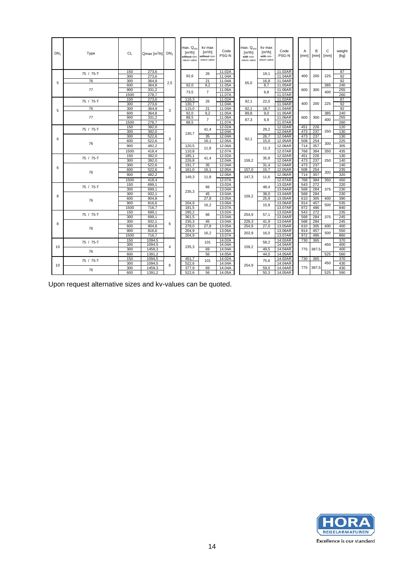| DN <sub>1</sub> | Type      | <b>CL</b>  | Qmax $\lceil m^3/h \rceil$ | DN <sub>2</sub> | max. Q <sub>min</sub><br>$\text{Im}^3/\text{hl}$<br>without non<br>return valve | kv max<br>$\left[\frac{m^3}{h}\right]$<br>without non-<br>return valve | Code<br>PSG-N    | max. Q <sub>mir</sub><br>$\text{Im}^3/\text{hl}$<br>with non-<br>return valve | kv max<br>$\left[\frac{m^3}{h}\right]$<br>with non-<br>return valve | Code<br>PSG-N      | Α<br>[mm] | B<br>$\lceil$ [mm] | C<br>[mm] | weight<br>[kg] |
|-----------------|-----------|------------|----------------------------|-----------------|---------------------------------------------------------------------------------|------------------------------------------------------------------------|------------------|-------------------------------------------------------------------------------|---------------------------------------------------------------------|--------------------|-----------|--------------------|-----------|----------------|
|                 | 75 / 75-T | 150        | 273,6                      |                 |                                                                                 | 26                                                                     | 11.02A           |                                                                               | 19.1                                                                | 11.02AR            |           |                    |           | 87             |
|                 |           | 300        | 273,6                      |                 | 92.6                                                                            |                                                                        | 11.04A           |                                                                               |                                                                     | 11.04AR            | 400       | 200                | 225       | 92             |
| 5               | 76        | 300        | 364.8                      | 2,5             |                                                                                 | 21                                                                     | 11.04A           | 65.0                                                                          | 16,8                                                                | 11.04AR            |           |                    |           | 92             |
|                 | 77        | 600<br>900 | 364.8<br>331.2             |                 | 92.0                                                                            | 9.2                                                                    | 11.05A<br>11.06A |                                                                               | 8.7                                                                 | 11.05AR<br>11.06AR | 600       | 300                | 385       | 240<br>255     |
|                 |           | 1500       | 278.7                      |                 | 73.5                                                                            | $\overline{7}$                                                         | 11.07A           |                                                                               | 6.8                                                                 | 11.07AR            |           |                    | 400       | 260            |
|                 |           | 150        | 273,6                      |                 | 116,3                                                                           |                                                                        | 11.02A           |                                                                               |                                                                     | 11.02AR            |           |                    |           | 87             |
|                 | 75 / 75-T | 300        | 273.6                      |                 | 130.7                                                                           | 26                                                                     | 11.04A           | 92.1                                                                          | 22,0                                                                | 11.04AR            | 400       | 200                | 225       | 92             |
|                 | 76        | 300        | 364.8                      |                 | 115.0                                                                           | 21                                                                     | 11.04A           | 92.1                                                                          | 18.7                                                                | 11.04AR            |           |                    |           | 92             |
| 5               |           | 600        | 364.8                      | 3               | 92.0                                                                            | 9.2                                                                    | 11.05A           | 89.8                                                                          | 9.0                                                                 | 11.05AR            |           |                    | 385       | 240            |
|                 | 77        | 900        | 331,2                      |                 | 88,5                                                                            |                                                                        | 11.06A           |                                                                               |                                                                     | 11.06AR            | 600       | 300                |           | 255            |
|                 |           | 1500       | 278,7                      |                 | 88.5                                                                            | $\overline{7}$                                                         | 11.07A           | 87,3                                                                          | 6,9                                                                 | 11.07AR            |           |                    | 400       | 260            |
|                 |           | 150        | 392.0                      |                 |                                                                                 |                                                                        | 12.02A           |                                                                               |                                                                     | 12.02AR            | 451       | 226                |           | 120            |
|                 | 75 / 75-T | 300        | 392.0                      |                 |                                                                                 | 41.4                                                                   | 12.04A           |                                                                               | 29,2                                                                | 12.04AR            | 473       | 237                | 250       | 130            |
|                 |           | 300        | 522.6                      |                 | 130,7                                                                           | 35                                                                     | 12.04A           |                                                                               | 26.7                                                                | 12.04AR            | 473       | 237                |           | 130            |
| 6               |           | 600        | 522.6                      | 3               |                                                                                 | 16.1                                                                   | 12.05A           | 92.1                                                                          | 15,0                                                                | 12.05AR            | 508       | 254                |           | 225            |
|                 | 76        | 900        | 482.2                      |                 | 120.5                                                                           |                                                                        | 12.06A           |                                                                               |                                                                     | 12.06AR            | 714       | 357                | 300       | 305            |
|                 |           | 1500       | 418.4                      |                 | 110.8                                                                           | 11,8                                                                   | 12.07A           |                                                                               | 11,3                                                                | 12.07AR            | 768       | 384                | 350       | 435            |
|                 |           | 150        | 392,0                      |                 | 185,1                                                                           |                                                                        | 12.02A           |                                                                               |                                                                     | 12.02AR            | 451       | 226                |           | 130            |
|                 | 75 / 75-T | 300        | 392.0                      |                 | 226.8                                                                           | 41.4                                                                   | 12.04A           | 159.2                                                                         | 35,8                                                                | 12.04AR            | 473       | 237                | 250       | 140            |
|                 |           | 300        | 522,6                      |                 | 191.7                                                                           | 35                                                                     | 12.04A           |                                                                               | 31.4                                                                | 12.04AR            | 473       | 237                |           | 140            |
| 6               |           | 600        | 522.6                      | 4               | 161.0                                                                           | 16.1                                                                   | 12.05A           | 157.0                                                                         | 15.7                                                                | 12.05AR            | 508       | 254                |           | 235            |
|                 | 76        | 900        | 482.2                      |                 |                                                                                 |                                                                        | 12.06A           |                                                                               |                                                                     | 12.06AR            | 714       | 357                | 300       | 320            |
|                 |           | 1500       | 418.4                      |                 | 149.3                                                                           | 11.8                                                                   | 12.07A           | 147.3                                                                         | 11.6                                                                | 12.07AR            | 768       | 384                | 350       | 450            |
|                 |           | 150        | 699.1                      |                 |                                                                                 |                                                                        | 13.02A           |                                                                               |                                                                     | 13.02AR            | 543       | 272                |           | 220            |
|                 | 75 / 75-T | 300        | 699.1                      |                 |                                                                                 | 66                                                                     | 13.04A           |                                                                               | 48.4                                                                | 13.04AR            | 568       | 284                | 375       | 230            |
|                 |           | 300        | 932.1                      |                 | 235,3                                                                           | 45                                                                     | 13.04A           |                                                                               | 38,0                                                                | 13.04AR            | 568       | 284                |           | 230            |
| 8               | 76        | 600        | 904.8                      | 4               |                                                                                 | 27.8                                                                   | 13.05A           | 159,2                                                                         | 25.9                                                                | 13.05AR            | 610       | 305                | 400       | 390            |
|                 |           | 900        | 816,6                      |                 | 204,9                                                                           | 16,2                                                                   | 13.06A           |                                                                               | 15,8                                                                | 13.06AR            | 914       | 457                | 500       | 535            |
|                 |           | 1500       | 716.7                      |                 | 191.5                                                                           |                                                                        | 13.07A           |                                                                               |                                                                     | 13.07AR            | 972       | 486                |           | 840            |
|                 | 75 / 75-T | 150        | 699.1                      |                 | 295.2                                                                           | 66                                                                     | 13.02A           | 254.9                                                                         | 57,1                                                                | 13.02AR            | 543       | 272                |           | 235            |
|                 |           | 300        | 699,1                      |                 | 361,5                                                                           |                                                                        | 13.04A           |                                                                               |                                                                     | 13.04AR            | 568       | 284                | 375       | 245            |
| 8               |           | 300        | 932,1                      | 6               | 235,3                                                                           | 45                                                                     | 13.04A           | 229,3                                                                         | 41,9                                                                | 13.04AR            | 568       | 284                |           | 245            |
|                 | 76        | 600        | 904,8                      |                 | 278,0                                                                           | 27,8                                                                   | 13.05A           | 254,9                                                                         | 27,0                                                                | 13.05AR            | 610       | 305                | 400       | 400            |
|                 |           | 900        | 816,6                      |                 | 204.9                                                                           | 16.2                                                                   | 13.06A           | 202.9                                                                         | 16.0                                                                | 13.06AR            | 914       | 457                | 500       | 550            |
|                 |           | 1500       | 716.7                      |                 | 204.9                                                                           |                                                                        | 13.07A           |                                                                               |                                                                     | 13.07AR            | 972       | 486                |           | 860            |
|                 | 75 / 75-T | 150        | 1094,5                     |                 |                                                                                 | 101                                                                    | 14.02A           |                                                                               | 58.2                                                                | 14.02AR            | 730       | 365                |           | 370            |
| 10              |           | 300        | 1094.5                     | 4               | 235.3                                                                           |                                                                        | 14.04A           | 159.2                                                                         |                                                                     | 14.04AR            |           |                    | 450       | 400            |
|                 | 76        | 300        | 1459.3                     |                 |                                                                                 | 69                                                                     | 14.04A           |                                                                               | 49.5                                                                | 14.04AR            | 775       | 387,5              |           | 400            |
|                 |           | 600        | 1391.2                     |                 |                                                                                 | 56                                                                     | 14.05A           |                                                                               | 44.0                                                                | 14.05AR            |           |                    | 525       | 560            |
|                 | 75 / 75-T | 150<br>300 | 1094,5<br>1094.5           |                 | 451,7                                                                           | 101                                                                    | 14.02A<br>14.04A |                                                                               | 75,6                                                                | 14.02AR<br>14.04AR | 730       | 365                | 450       | 370<br>430     |
| 10              |           | 300        | 1459,3                     | 6               | 522,6<br>377.9                                                                  | 69                                                                     | 14.04A           | 254.9                                                                         | 59,0                                                                | 14.04AR            | 775       | 387,5              |           | 430            |
|                 | 76        | 600        | 1391,2                     |                 | 522,6                                                                           | 56                                                                     | 14.05A           |                                                                               | 50,3                                                                | 14.05AR            |           |                    | 525       | 590            |
|                 |           |            |                            |                 |                                                                                 |                                                                        |                  |                                                                               |                                                                     |                    |           |                    |           |                |

Upon request alternative sizes and kv-values can be quoted.

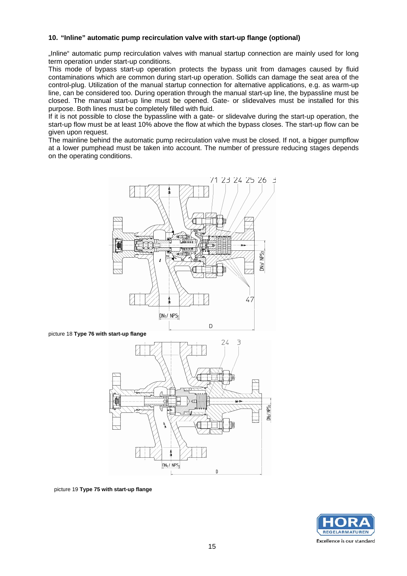#### **10. "Inline" automatic pump recirculation valve with start-up flange (optional)**

"Inline" automatic pump recirculation valves with manual startup connection are mainly used for long term operation under start-up conditions.

This mode of bypass start-up operation protects the bypass unit from damages caused by fluid contaminations which are common during start-up operation. Sollids can damage the seat area of the control-plug. Utilization of the manual startup connection for alternative applications, e.g. as warm-up line, can be considered too. During operation through the manual start-up line, the bypassline must be closed. The manual start-up line must be opened. Gate- or slidevalves must be installed for this purpose. Both lines must be completely filled with fluid.

If it is not possible to close the bypassline with a gate- or slidevalve during the start-up operation, the start-up flow must be at least 10% above the flow at which the bypass closes. The start-up flow can be given upon request.

The mainline behind the automatic pump recirculation valve must be closed. If not, a bigger pumpflow at a lower pumphead must be taken into account. The number of pressure reducing stages depends on the operating conditions.



#### picture 18 **Type 76 with start-up flange**



picture 19 **Type 75 with start-up flange**

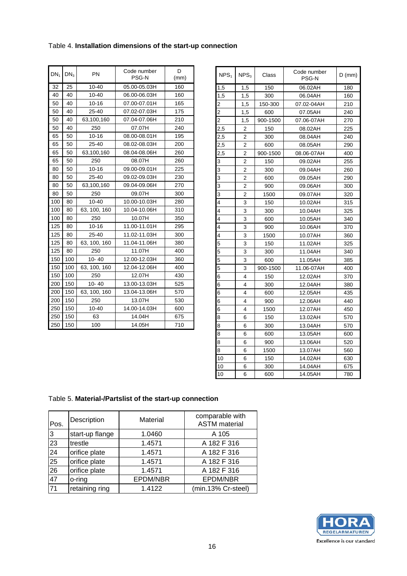## Table 4. **Installation dimensions of the start-up connection**

| $DN_1$ | PN<br>DN <sub>3</sub> |              | Code number<br>PSG-N | D<br>(mm) |  |  |  |
|--------|-----------------------|--------------|----------------------|-----------|--|--|--|
| 32     | $10 - 40$<br>25       |              | 05.00-05.03H         | 160       |  |  |  |
| 40     | 40                    | $10 - 40$    | 06.00-06.03H         | 160       |  |  |  |
| 50     | 40                    | $10 - 16$    | 07.00-07.01H         | 165       |  |  |  |
| 50     | 40                    | 25-40        | 07.02-07.03H         | 175       |  |  |  |
| 50     | 40                    | 63,100,160   | 07.04-07.06H         | 210       |  |  |  |
| 50     | 40                    | 250          | 07.07H               | 240       |  |  |  |
| 65     | 50                    | $10 - 16$    | 08.00-08.01H         | 195       |  |  |  |
| 65     | 50                    | 25-40        | 08.02-08.03H         | 200       |  |  |  |
| 65     | 50                    | 63,100,160   | 08.04-08.06H         | 260       |  |  |  |
| 65     | 50                    | 250          | 08.07H               | 260       |  |  |  |
| 80     | 50                    | $10 - 16$    | 09.00-09.01H         | 225       |  |  |  |
| 80     | 50                    | 25-40        | 09.02-09.03H         | 230       |  |  |  |
| 80     | 50                    | 63,100,160   | 09.04-09.06H         | 270       |  |  |  |
| 80     | 50                    | 250          | 09.07H               | 300       |  |  |  |
| 100    | 80                    | $10 - 40$    | 10.00-10.03H         | 280       |  |  |  |
| 100    | 80                    | 63, 100, 160 | 10.04-10.06H         | 310       |  |  |  |
| 100    | 80                    | 250          | 10.07H               | 350       |  |  |  |
| 125    | 80                    | $10 - 16$    | 11.00-11.01H         | 295       |  |  |  |
| 125    | 80                    | 25-40        | 11.02-11.03H         | 300       |  |  |  |
| 125    | 80                    | 63, 100, 160 | 11.04-11.06H         | 380       |  |  |  |
| 125    | 80                    | 250          | 11.07H               | 400       |  |  |  |
| 150    | 100                   | 10-40        | 12.00-12.03H         | 360       |  |  |  |
| 150    | 100                   | 63, 100, 160 | 12.04-12.06H         | 400       |  |  |  |
| 150    | 100                   | 250          | 12.07H               | 430       |  |  |  |
| 200    | 150                   | 10-40        | 13.00-13.03H         | 525       |  |  |  |
| 200    | 150                   | 63, 100, 160 | 13.04-13.06H         | 570       |  |  |  |
| 200    | 150                   | 250          | 13.07H               | 530       |  |  |  |
| 250    | 150                   | $10 - 40$    | 14.00-14.03H         | 600       |  |  |  |
| 250    | 150                   | 63           | 14.04H               | 675       |  |  |  |
| 250    | 150                   | 100          | 14.05H               | 710       |  |  |  |

| NPS <sub>1</sub> | NPS <sub>3</sub> | Class    | Code number<br>PSG-N |     |
|------------------|------------------|----------|----------------------|-----|
| 1,5              | 1,5              | 150      | 06.02AH              | 180 |
| 1,5              | 1,5              | 300      | 06.04AH              | 160 |
| 2                | 1,5              | 150-300  | 07.02-04AH           | 210 |
| 2                | 1,5              | 600      | 07.05AH              | 240 |
| $\overline{2}$   | 1,5              | 900-1500 | 07.06-07AH           | 270 |
| 2,5              | 2                | 150      | 08.02AH              | 225 |
| 2,5              | 2                | 300      | 08.04AH              | 240 |
| 2,5              | 2                | 600      | 08.05AH              | 290 |
| 2,5              | 2                | 900-1500 | 08.06-07AH           | 400 |
| 3                | $\overline{2}$   | 150      | 09.02AH              | 255 |
| 3                | 2                | 300      | 09.04AH              | 260 |
| 3                | 2                | 600      | 09.05AH              | 290 |
| 3                | 2                | 900      | 09.06AH              | 300 |
| 3                | 2                | 1500     | 09.07AH              | 320 |
| 4                | 3                | 150      | 10.02AH              | 315 |
| 4                | 3                | 300      | 10.04AH              | 325 |
| 4                | 3                | 600      | 10.05AH              | 340 |
| 4                | 3                | 900      | 10.06AH              | 370 |
| 4                | 3                | 1500     | 10.07AH              | 360 |
| 5                | 3                | 150      | 11.02AH              | 325 |
| 5                | 3                | 300      | 11.04AH              | 340 |
| 5                | 3                | 600      | 11.05AH              | 385 |
| 5                | 3                | 900-1500 | 11.06-07AH           | 400 |
| 6                | 4                | 150      | 12.02AH              | 370 |
| 6                | 4                | 300      | 12.04AH              | 380 |
| 6                | 4                | 600      | 12.05AH              | 435 |
| 6                | 4                | 900      | 12.06AH              | 440 |
| 6                | 4                | 1500     | 12.07AH              | 450 |
| 8                | 6                | 150      | 13.02AH              | 570 |
| 8                | 6                | 300      | 13.04AH              | 570 |
| 8                | 6                | 600      | 13.05AH              | 600 |
| 8                | 6                | 900      | 13.06AH              | 520 |
| 8                | 6                | 1500     | 13.07AH              | 560 |
| 10               | 6                | 150      | 14.02AH              | 630 |
| 10               | 6                | 300      | 14.04AH              | 675 |
| 10               | 6                | 600      | 14.05AH              | 780 |

## Table 5. **Material-/Partslist of the start-up connection**

| Pos.            | Description     | Material | comparable with<br><b>ASTM</b> material |
|-----------------|-----------------|----------|-----------------------------------------|
| $\overline{3}$  | start-up flange | 1.0460   | A 105                                   |
| 23              | trestle         | 1.4571   | A 182 F 316                             |
| $\overline{24}$ | orifice plate   | 1.4571   | A 182 F 316                             |
| 25              | orifice plate   | 1.4571   | A 182 F 316                             |
| $\overline{26}$ | orifice plate   | 1.4571   | A 182 F 316                             |
| 47              | o-ring          | EPDM/NBR | EPDM/NBR                                |
| $\overline{71}$ | retaining ring  | 1.4122   | (min.13% Cr-steel)                      |

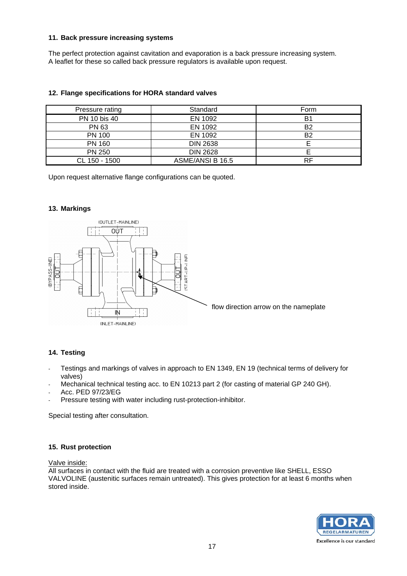#### **11. Back pressure increasing systems**

The perfect protection against cavitation and evaporation is a back pressure increasing system. A leaflet for these so called back pressure regulators is available upon request.

| Pressure rating | Standard         | Form |
|-----------------|------------------|------|
| PN 10 bis 40    | EN 1092          | B1   |
| PN 63           | EN 1092          | B2   |
| <b>PN 100</b>   | EN 1092          | B2   |
| <b>PN 160</b>   | <b>DIN 2638</b>  |      |
| <b>PN 250</b>   | <b>DIN 2628</b>  |      |
| CL 150 - 1500   | ASME/ANSI B 16.5 | RF   |

### **12. Flange specifications for HORA standard valves**

Upon request alternative flange configurations can be quoted.

#### **13. Markings**



### **14. Testing**

- Testings and markings of valves in approach to EN 1349, EN 19 (technical terms of delivery for valves)
- Mechanical technical testing acc. to EN 10213 part 2 (for casting of material GP 240 GH).
- Acc. PED 97/23/EG
- Pressure testing with water including rust-protection-inhibitor.

Special testing after consultation.

#### **15. Rust protection**

Valve inside:

All surfaces in contact with the fluid are treated with a corrosion preventive like SHELL, ESSO VALVOLINE (austenitic surfaces remain untreated). This gives protection for at least 6 months when stored inside.

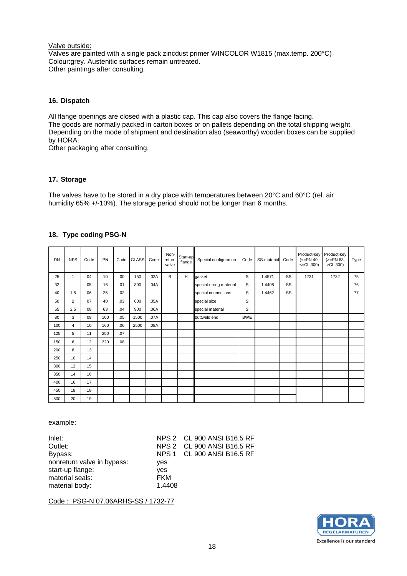#### Valve outside:

Valves are painted with a single pack zincdust primer WINCOLOR W1815 (max.temp. 200°C) Colour:grey. Austenitic surfaces remain untreated. Other paintings after consulting.

#### **16. Dispatch**

All flange openings are closed with a plastic cap. This cap also covers the flange facing. The goods are normally packed in carton boxes or on pallets depending on the total shipping weight. Depending on the mode of shipment and destination also (seaworthy) wooden boxes can be supplied by HORA.

Other packaging after consulting.

### **17. Storage**

The valves have to be stored in a dry place with temperatures between 20°C and 60°C (rel. air humidity 65% +/-10%). The storage period should not be longer than 6 months.

#### **18. Type coding PSG-N**

| DN  | <b>NPS</b>     | Code | PN  | Code             | <b>CLASS</b> | Code | Non-<br>return<br>valve | Start-up<br>flange | Special configuration   | Code       | SS-material | Code | Product-key<br>$(<=PN 40,$<br>$<< = CL 300$ ) | Product-key<br>$(>=PN 63,$<br>>CL 300) | Type |
|-----|----------------|------|-----|------------------|--------------|------|-------------------------|--------------------|-------------------------|------------|-------------|------|-----------------------------------------------|----------------------------------------|------|
| 25  | 1              | 04   | 10  | .00.             | 150          | .02A | R                       | H                  | gasket                  | S          | 1.4571      | -SS  | 1731                                          | 1732                                   | 75   |
| 32  |                | 05   | 16  | .01              | 300          | .04A |                         |                    | special-o-ring material | S          | 1.4408      | -SS  |                                               |                                        | 76   |
| 40  | 1,5            | 06   | 25  | .02              |              |      |                         |                    | special connections     | S          | 1.4462      | -SS  |                                               |                                        | 77   |
| 50  | $\overline{2}$ | 07   | 40  | .03              | 600          | .05A |                         |                    | special size            | S          |             |      |                                               |                                        |      |
| 65  | 2,5            | 08   | 63  | .04              | 900          | .06A |                         |                    | special material        | S          |             |      |                                               |                                        |      |
| 80  | 3              | 09   | 100 | .05              | 1500         | .07A |                         |                    | buttweld end            | <b>BWE</b> |             |      |                                               |                                        |      |
| 100 | $\overline{4}$ | 10   | 160 | .06              | 2500         | .08A |                         |                    |                         |            |             |      |                                               |                                        |      |
| 125 | 5              | 11   | 250 | .07              |              |      |                         |                    |                         |            |             |      |                                               |                                        |      |
| 150 | 6              | 12   | 320 | .08 <sub>0</sub> |              |      |                         |                    |                         |            |             |      |                                               |                                        |      |
| 200 | 8              | 13   |     |                  |              |      |                         |                    |                         |            |             |      |                                               |                                        |      |
| 250 | 10             | 14   |     |                  |              |      |                         |                    |                         |            |             |      |                                               |                                        |      |
| 300 | 12             | 15   |     |                  |              |      |                         |                    |                         |            |             |      |                                               |                                        |      |
| 350 | 14             | 16   |     |                  |              |      |                         |                    |                         |            |             |      |                                               |                                        |      |
| 400 | 16             | 17   |     |                  |              |      |                         |                    |                         |            |             |      |                                               |                                        |      |
| 450 | 18             | 18   |     |                  |              |      |                         |                    |                         |            |             |      |                                               |                                        |      |
| 500 | 20             | 19   |     |                  |              |      |                         |                    |                         |            |             |      |                                               |                                        |      |

example:

| Inlet:                     |            | NPS 2 CL 900 ANSI B16.5 RF |
|----------------------------|------------|----------------------------|
| Outlet:                    |            | NPS 2 CL 900 ANSI B16.5 RF |
| Bypass:                    |            | NPS 1 CL 900 ANSI B16.5 RF |
| nonreturn valve in bypass: | ves        |                            |
| start-up flange:           | ves        |                            |
| material seals:            | <b>FKM</b> |                            |
| material body:             | 1.4408     |                            |

Code : PSG-N 07.06ARHS-SS / 1732-77

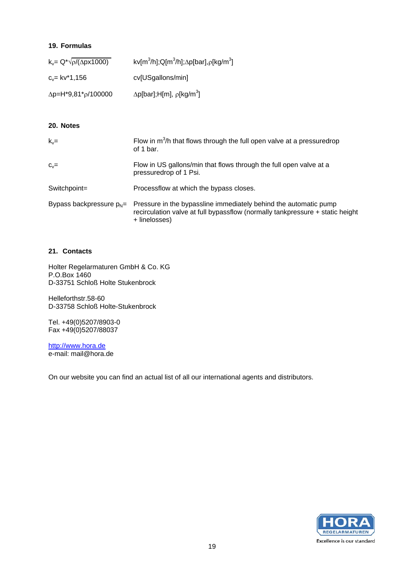### **19. Formulas**

| $k_y = Q^* \sqrt{\rho/(\Delta px 1000)}$ | kv[m <sup>3</sup> /h];Q[m <sup>3</sup> /h]; $\Delta p$ [bar], $\rho$ [kg/m <sup>3</sup> ] |
|------------------------------------------|-------------------------------------------------------------------------------------------|
| $c_{v}$ = kv*1,156                       | cv[USgallons/min]                                                                         |
| $\Delta p = H^*9.81^* \rho / 100000$     | $\Delta p$ [bar];H[m], $\rho$ [kg/m <sup>3</sup> ]                                        |

### **20. Notes**

| $k_v =$                     | Flow in $m^3/h$ that flows through the full open valve at a pressuredrop<br>of 1 bar.                                                                              |
|-----------------------------|--------------------------------------------------------------------------------------------------------------------------------------------------------------------|
| $C_v =$                     | Flow in US gallons/min that flows through the full open valve at a<br>pressuredrop of 1 Psi.                                                                       |
| Switchpoint=                | Processflow at which the bypass closes.                                                                                                                            |
| Bypass backpressure $p_N =$ | Pressure in the bypassline immediately behind the automatic pump<br>recirculation valve at full bypassflow (normally tankpressure + static height<br>+ linelosses) |

### **21. Contacts**

Holter Regelarmaturen GmbH & Co. KG P.O.Box 1460 D-33751 Schloß Holte Stukenbrock

Helleforthstr.58-60 D-33758 Schloß Holte-Stukenbrock

Tel. +49(0)5207/8903-0 Fax +49(0)5207/88037

http://www.hora.de e-mail: mail@hora.de

On our website you can find an actual list of all our international agents and distributors.